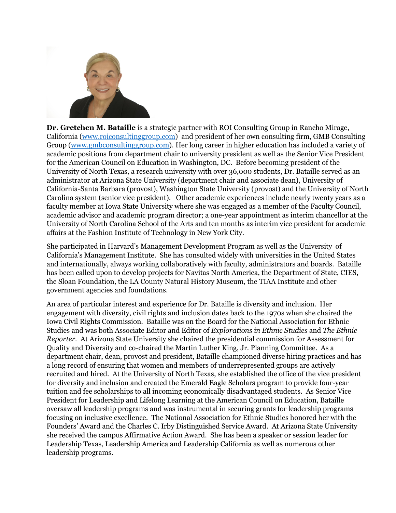

**Dr. Gretchen M. Bataille** is a strategic partner with ROI Consulting Group in Rancho Mirage, California [\(www.roiconsultinggroup.com\)](http://www.roiconsultinggroup.com/) and president of her own consulting firm, GMB Consulting Group [\(www.gmbconsultinggroup.com\)](http://www.gmbconsultinggroup.com/). Her long career in higher education has included a variety of academic positions from department chair to university president as well as the Senior Vice President for the American Council on Education in Washington, DC. Before becoming president of the University of North Texas, a research university with over 36,000 students, Dr. Bataille served as an administrator at Arizona State University (department chair and associate dean), University of California-Santa Barbara (provost), Washington State University (provost) and the University of North Carolina system (senior vice president). Other academic experiences include nearly twenty years as a faculty member at Iowa State University where she was engaged as a member of the Faculty Council, academic advisor and academic program director; a one-year appointment as interim chancellor at the University of North Carolina School of the Arts and ten months as interim vice president for academic affairs at the Fashion Institute of Technology in New York City.

She participated in Harvard's Management Development Program as well as the University of California's Management Institute. She has consulted widely with universities in the United States and internationally, always working collaboratively with faculty, administrators and boards. Bataille has been called upon to develop projects for Navitas North America, the Department of State, CIES, the Sloan Foundation, the LA County Natural History Museum, the TIAA Institute and other government agencies and foundations.

An area of particular interest and experience for Dr. Bataille is diversity and inclusion. Her engagement with diversity, civil rights and inclusion dates back to the 1970s when she chaired the Iowa Civil Rights Commission. Bataille was on the Board for the National Association for Ethnic Studies and was both Associate Editor and Editor of *Explorations in Ethnic Studies* and *The Ethnic Reporter.* At Arizona State University she chaired the presidential commission for Assessment for Quality and Diversity and co-chaired the Martin Luther King, Jr. Planning Committee. As a department chair, dean, provost and president, Bataille championed diverse hiring practices and has a long record of ensuring that women and members of underrepresented groups are actively recruited and hired. At the University of North Texas, she established the office of the vice president for diversity and inclusion and created the Emerald Eagle Scholars program to provide four-year tuition and fee scholarships to all incoming economically disadvantaged students. As Senior Vice President for Leadership and Lifelong Learning at the American Council on Education, Bataille oversaw all leadership programs and was instrumental in securing grants for leadership programs focusing on inclusive excellence. The National Association for Ethnic Studies honored her with the Founders' Award and the Charles C. Irby Distinguished Service Award. At Arizona State University she received the campus Affirmative Action Award. She has been a speaker or session leader for Leadership Texas, Leadership America and Leadership California as well as numerous other leadership programs.